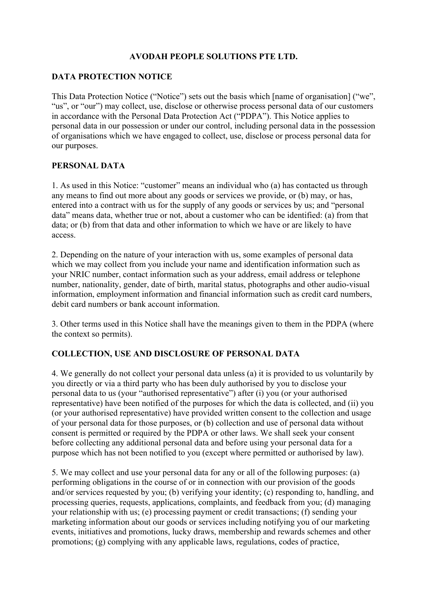## **AVODAH PEOPLE SOLUTIONS PTE LTD.**

#### **DATA PROTECTION NOTICE**

This Data Protection Notice ("Notice") sets out the basis which [name of organisation] ("we", "us", or "our") may collect, use, disclose or otherwise process personal data of our customers in accordance with the Personal Data Protection Act ("PDPA"). This Notice applies to personal data in our possession or under our control, including personal data in the possession of organisations which we have engaged to collect, use, disclose or process personal data for our purposes.

### **PERSONAL DATA**

1. As used in this Notice: "customer" means an individual who (a) has contacted us through any means to find out more about any goods or services we provide, or (b) may, or has, entered into a contract with us for the supply of any goods or services by us; and "personal data" means data, whether true or not, about a customer who can be identified: (a) from that data; or (b) from that data and other information to which we have or are likely to have access.

2. Depending on the nature of your interaction with us, some examples of personal data which we may collect from you include your name and identification information such as your NRIC number, contact information such as your address, email address or telephone number, nationality, gender, date of birth, marital status, photographs and other audio-visual information, employment information and financial information such as credit card numbers, debit card numbers or bank account information.

3. Other terms used in this Notice shall have the meanings given to them in the PDPA (where the context so permits).

### **COLLECTION, USE AND DISCLOSURE OF PERSONAL DATA**

4. We generally do not collect your personal data unless (a) it is provided to us voluntarily by you directly or via a third party who has been duly authorised by you to disclose your personal data to us (your "authorised representative") after (i) you (or your authorised representative) have been notified of the purposes for which the data is collected, and (ii) you (or your authorised representative) have provided written consent to the collection and usage of your personal data for those purposes, or (b) collection and use of personal data without consent is permitted or required by the PDPA or other laws. We shall seek your consent before collecting any additional personal data and before using your personal data for a purpose which has not been notified to you (except where permitted or authorised by law).

5. We may collect and use your personal data for any or all of the following purposes: (a) performing obligations in the course of or in connection with our provision of the goods and/or services requested by you; (b) verifying your identity; (c) responding to, handling, and processing queries, requests, applications, complaints, and feedback from you; (d) managing your relationship with us; (e) processing payment or credit transactions; (f) sending your marketing information about our goods or services including notifying you of our marketing events, initiatives and promotions, lucky draws, membership and rewards schemes and other promotions; (g) complying with any applicable laws, regulations, codes of practice,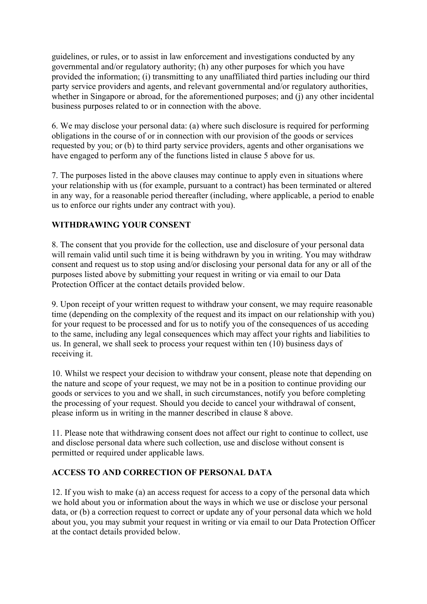guidelines, or rules, or to assist in law enforcement and investigations conducted by any governmental and/or regulatory authority; (h) any other purposes for which you have provided the information; (i) transmitting to any unaffiliated third parties including our third party service providers and agents, and relevant governmental and/or regulatory authorities, whether in Singapore or abroad, for the aforementioned purposes; and (j) any other incidental business purposes related to or in connection with the above.

6. We may disclose your personal data: (a) where such disclosure is required for performing obligations in the course of or in connection with our provision of the goods or services requested by you; or (b) to third party service providers, agents and other organisations we have engaged to perform any of the functions listed in clause 5 above for us.

7. The purposes listed in the above clauses may continue to apply even in situations where your relationship with us (for example, pursuant to a contract) has been terminated or altered in any way, for a reasonable period thereafter (including, where applicable, a period to enable us to enforce our rights under any contract with you).

# **WITHDRAWING YOUR CONSENT**

8. The consent that you provide for the collection, use and disclosure of your personal data will remain valid until such time it is being withdrawn by you in writing. You may withdraw consent and request us to stop using and/or disclosing your personal data for any or all of the purposes listed above by submitting your request in writing or via email to our Data Protection Officer at the contact details provided below.

9. Upon receipt of your written request to withdraw your consent, we may require reasonable time (depending on the complexity of the request and its impact on our relationship with you) for your request to be processed and for us to notify you of the consequences of us acceding to the same, including any legal consequences which may affect your rights and liabilities to us. In general, we shall seek to process your request within ten (10) business days of receiving it.

10. Whilst we respect your decision to withdraw your consent, please note that depending on the nature and scope of your request, we may not be in a position to continue providing our goods or services to you and we shall, in such circumstances, notify you before completing the processing of your request. Should you decide to cancel your withdrawal of consent, please inform us in writing in the manner described in clause 8 above.

11. Please note that withdrawing consent does not affect our right to continue to collect, use and disclose personal data where such collection, use and disclose without consent is permitted or required under applicable laws.

### **ACCESS TO AND CORRECTION OF PERSONAL DATA**

12. If you wish to make (a) an access request for access to a copy of the personal data which we hold about you or information about the ways in which we use or disclose your personal data, or (b) a correction request to correct or update any of your personal data which we hold about you, you may submit your request in writing or via email to our Data Protection Officer at the contact details provided below.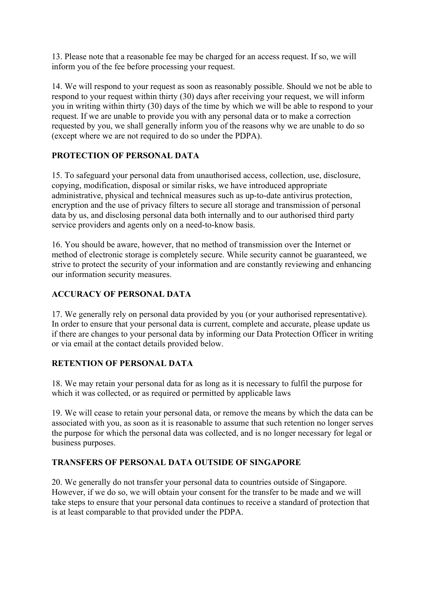13. Please note that a reasonable fee may be charged for an access request. If so, we will inform you of the fee before processing your request.

14. We will respond to your request as soon as reasonably possible. Should we not be able to respond to your request within thirty (30) days after receiving your request, we will inform you in writing within thirty (30) days of the time by which we will be able to respond to your request. If we are unable to provide you with any personal data or to make a correction requested by you, we shall generally inform you of the reasons why we are unable to do so (except where we are not required to do so under the PDPA).

# **PROTECTION OF PERSONAL DATA**

15. To safeguard your personal data from unauthorised access, collection, use, disclosure, copying, modification, disposal or similar risks, we have introduced appropriate administrative, physical and technical measures such as up-to-date antivirus protection, encryption and the use of privacy filters to secure all storage and transmission of personal data by us, and disclosing personal data both internally and to our authorised third party service providers and agents only on a need-to-know basis.

16. You should be aware, however, that no method of transmission over the Internet or method of electronic storage is completely secure. While security cannot be guaranteed, we strive to protect the security of your information and are constantly reviewing and enhancing our information security measures.

### **ACCURACY OF PERSONAL DATA**

17. We generally rely on personal data provided by you (or your authorised representative). In order to ensure that your personal data is current, complete and accurate, please update us if there are changes to your personal data by informing our Data Protection Officer in writing or via email at the contact details provided below.

### **RETENTION OF PERSONAL DATA**

18. We may retain your personal data for as long as it is necessary to fulfil the purpose for which it was collected, or as required or permitted by applicable laws

19. We will cease to retain your personal data, or remove the means by which the data can be associated with you, as soon as it is reasonable to assume that such retention no longer serves the purpose for which the personal data was collected, and is no longer necessary for legal or business purposes.

### **TRANSFERS OF PERSONAL DATA OUTSIDE OF SINGAPORE**

20. We generally do not transfer your personal data to countries outside of Singapore. However, if we do so, we will obtain your consent for the transfer to be made and we will take steps to ensure that your personal data continues to receive a standard of protection that is at least comparable to that provided under the PDPA.